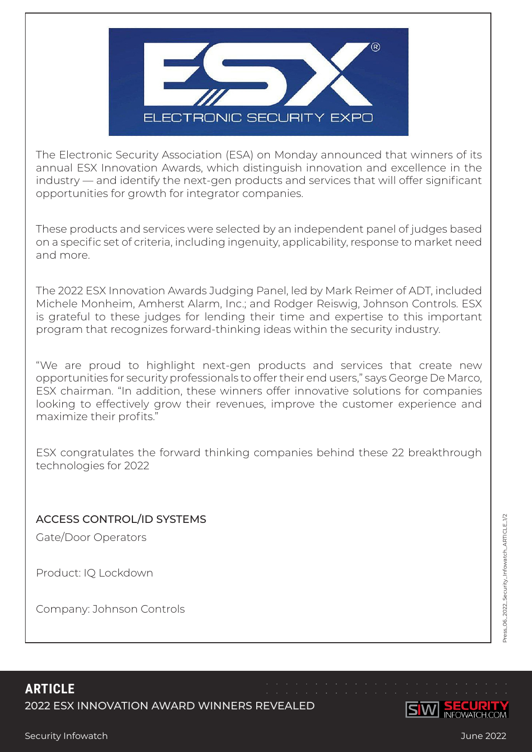

The Electronic Security Association (ESA) on Monday announced that winners of its annual ESX Innovation Awards, which distinguish innovation and excellence in the industry — and identify the next-gen products and services that will offer significant opportunities for growth for integrator companies.

These products and services were selected by an independent panel of judges based on a specific set of criteria, including ingenuity, applicability, response to market need and more.

The 2022 ESX Innovation Awards Judging Panel, led by Mark Reimer of ADT, included Michele Monheim, Amherst Alarm, Inc.; and Rodger Reiswig, Johnson Controls. ESX is grateful to these judges for lending their time and expertise to this important program that recognizes forward-thinking ideas within the security industry.

"We are proud to highlight next-gen products and services that create new opportunities for security professionals to offer their end users," says George De Marco, ESX chairman. "In addition, these winners offer innovative solutions for companies looking to effectively grow their revenues, improve the customer experience and maximize their profits."

ESX congratulates the forward thinking companies behind these 22 breakthrough technologies for 2022

## ACCESS CONTROL/ID SYSTEMS

Gate/Door Operators

Product: IQ Lockdown

Company: Johnson Controls

ress\_06\_2022\_Security\_Infowatch\_ARTICLE\_1/2 Press\_06\_2022\_Security\_Infowatch\_ARTICLE\_1/2